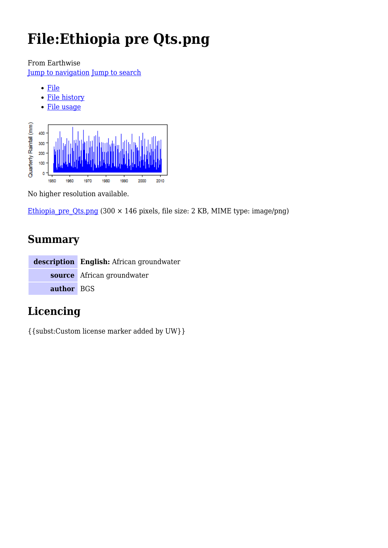# **File:Ethiopia pre Qts.png**

From Earthwise

[Jump to navigation](#page--1-0) [Jump to search](#page--1-0)



No higher resolution available.

Ethiopia pre Qts.png (300  $\times$  146 pixels, file size: 2 KB, MIME type: image/png)

# **Summary**

|            | description English: African groundwater |
|------------|------------------------------------------|
|            | source African groundwater               |
| author BGS |                                          |

# **Licencing**

{{subst:Custom license marker added by UW}}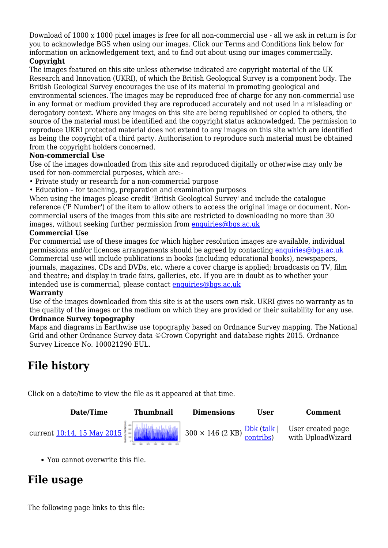Download of 1000 x 1000 pixel images is free for all non-commercial use - all we ask in return is for you to acknowledge BGS when using our images. Click our Terms and Conditions link below for information on acknowledgement text, and to find out about using our images commercially.

#### **Copyright**

The images featured on this site unless otherwise indicated are copyright material of the UK Research and Innovation (UKRI), of which the British Geological Survey is a component body. The British Geological Survey encourages the use of its material in promoting geological and environmental sciences. The images may be reproduced free of charge for any non-commercial use in any format or medium provided they are reproduced accurately and not used in a misleading or derogatory context. Where any images on this site are being republished or copied to others, the source of the material must be identified and the copyright status acknowledged. The permission to reproduce UKRI protected material does not extend to any images on this site which are identified as being the copyright of a third party. Authorisation to reproduce such material must be obtained from the copyright holders concerned.

#### **Non-commercial Use**

Use of the images downloaded from this site and reproduced digitally or otherwise may only be used for non-commercial purposes, which are:-

- Private study or research for a non-commercial purpose
- Education for teaching, preparation and examination purposes

When using the images please credit 'British Geological Survey' and include the catalogue reference ('P Number') of the item to allow others to access the original image or document. Noncommercial users of the images from this site are restricted to downloading no more than 30 images, without seeking further permission from [enquiries@bgs.ac.uk](mailto:enquiries@bgs.ac.uk)

#### **Commercial Use**

For commercial use of these images for which higher resolution images are available, individual permissions and/or licences arrangements should be agreed by contacting [enquiries@bgs.ac.uk](mailto:enquiries@bgs.ac.uk) Commercial use will include publications in books (including educational books), newspapers, journals, magazines, CDs and DVDs, etc, where a cover charge is applied; broadcasts on TV, film and theatre; and display in trade fairs, galleries, etc. If you are in doubt as to whether your intended use is commercial, please contact [enquiries@bgs.ac.uk](mailto:enquiries@bgs.ac.uk)

#### **Warranty**

Use of the images downloaded from this site is at the users own risk. UKRI gives no warranty as to the quality of the images or the medium on which they are provided or their suitability for any use. **Ordnance Survey topography**

Maps and diagrams in Earthwise use topography based on Ordnance Survey mapping. The National Grid and other Ordnance Survey data ©Crown Copyright and database rights 2015. Ordnance Survey Licence No. 100021290 EUL.

# **File history**

Click on a date/time to view the file as it appeared at that time.



You cannot overwrite this file.

### **File usage**

The following page links to this file: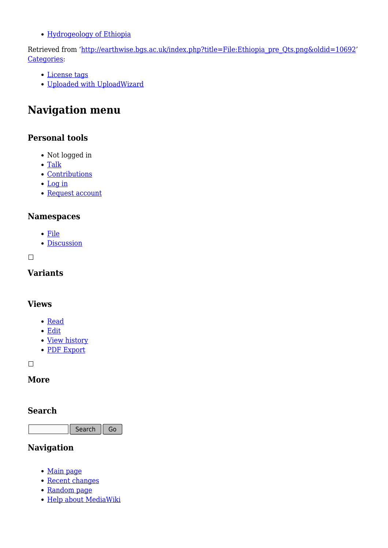[Hydrogeology of Ethiopia](http://earthwise.bgs.ac.uk/index.php/Hydrogeology_of_Ethiopia)

Retrieved from ['http://earthwise.bgs.ac.uk/index.php?title=File:Ethiopia\\_pre\\_Qts.png&oldid=10692](http://earthwise.bgs.ac.uk/index.php?title=File:Ethiopia_pre_Qts.png&oldid=10692)' [Categories:](http://earthwise.bgs.ac.uk/index.php/Special:Categories)

- [License tags](http://earthwise.bgs.ac.uk/index.php/Category:License_tags)
- [Uploaded with UploadWizard](http://earthwise.bgs.ac.uk/index.php/Category:Uploaded_with_UploadWizard)

# **Navigation menu**

### **Personal tools**

- Not logged in
- [Talk](http://earthwise.bgs.ac.uk/index.php/Special:MyTalk)
- [Contributions](http://earthwise.bgs.ac.uk/index.php/Special:MyContributions)
- [Log in](http://earthwise.bgs.ac.uk/index.php?title=Special:UserLogin&returnto=File%3AEthiopia+pre+Qts.png&returntoquery=action%3Dmpdf)
- [Request account](http://earthwise.bgs.ac.uk/index.php/Special:RequestAccount)

### **Namespaces**

- [File](http://earthwise.bgs.ac.uk/index.php/File:Ethiopia_pre_Qts.png)
- [Discussion](http://earthwise.bgs.ac.uk/index.php?title=File_talk:Ethiopia_pre_Qts.png&action=edit&redlink=1)

 $\Box$ 

### **Variants**

### **Views**

- [Read](http://earthwise.bgs.ac.uk/index.php/File:Ethiopia_pre_Qts.png)
- [Edit](http://earthwise.bgs.ac.uk/index.php?title=File:Ethiopia_pre_Qts.png&action=edit)
- [View history](http://earthwise.bgs.ac.uk/index.php?title=File:Ethiopia_pre_Qts.png&action=history)
- [PDF Export](http://earthwise.bgs.ac.uk/index.php?title=File:Ethiopia_pre_Qts.png&action=mpdf)

 $\Box$ 

### **More**

### **Search**

Search  $\Big|$  Go

### **Navigation**

- [Main page](http://earthwise.bgs.ac.uk/index.php/Main_Page)
- [Recent changes](http://earthwise.bgs.ac.uk/index.php/Special:RecentChanges)
- [Random page](http://earthwise.bgs.ac.uk/index.php/Special:Random)
- [Help about MediaWiki](https://www.mediawiki.org/wiki/Special:MyLanguage/Help:Contents)